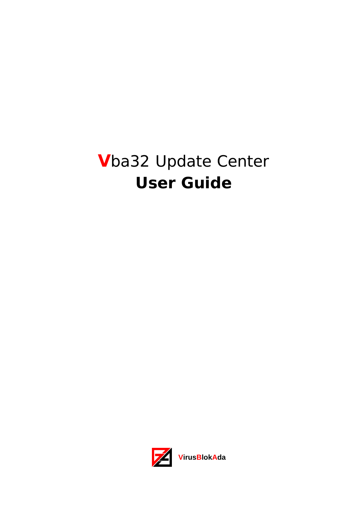# **V**ba32 Update Center **User Guide**

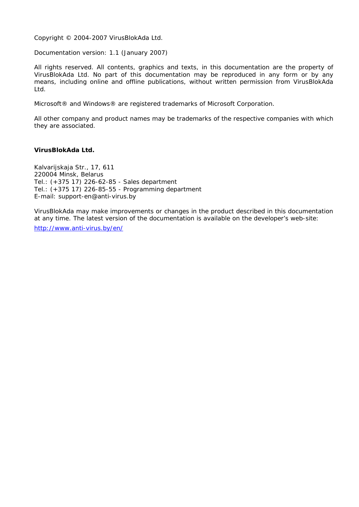Copyright © 2004-2007 VirusBlokAda Ltd.

Documentation version: 1.1 (January 2007)

All rights reserved. All contents, graphics and texts, in this documentation are the property of VirusBlokAda Ltd. No part of this documentation may be reproduced in any form or by any means, including online and offline publications, without written permission from VirusBlokAda Ltd.

Microsoft® and Windows® are registered trademarks of Microsoft Corporation.

All other company and product names may be trademarks of the respective companies with which they are associated.

#### **VirusBlokAda Ltd.**

Kalvarijskaja Str., 17, 611 220004 Minsk, Belarus Tel.: (+375 17) 226-62-85 - Sales department Tel.: (+375 17) 226-85-55 - Programming department E-mail: support-en@anti-virus.by

VirusBlokAda may make improvements or changes in the product described in this documentation at any time. The latest version of the documentation is available on the developer's web-site: <http://www.anti-virus.by/en/>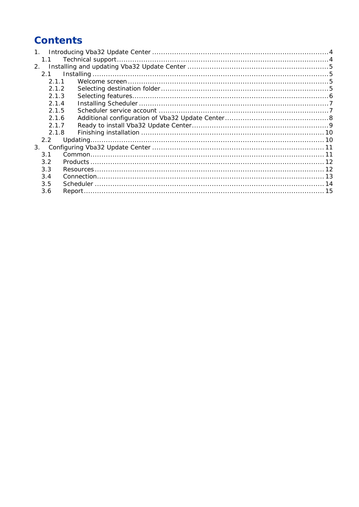# **Contents**

| 1 <sup>1</sup> |  |
|----------------|--|
| 1.1            |  |
| 2 <sup>1</sup> |  |
| 2.1            |  |
| 211            |  |
| 2.1.2          |  |
| 2.1.3          |  |
| 2.1.4          |  |
| 2.1.5          |  |
| 2.1.6          |  |
| 2.1.7          |  |
| 2.1.8          |  |
| $2.2^{\circ}$  |  |
| 3.             |  |
| 3.1            |  |
| 3.2            |  |
| 3.3            |  |
| 3.4            |  |
| 3.5            |  |
| 3.6            |  |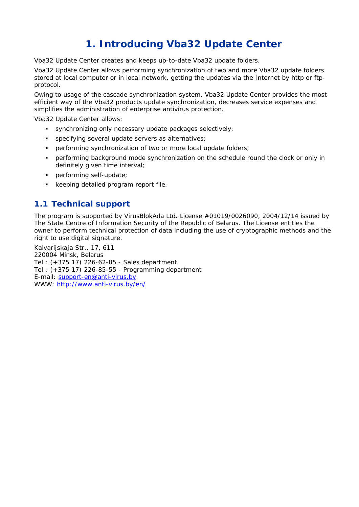# **1. Introducing Vba32 Update Center**

<span id="page-3-0"></span>Vba32 Update Center creates and keeps up-to-date Vba32 update folders.

Vba32 Update Center allows performing synchronization of two and more Vba32 update folders stored at local computer or in local network, getting the updates via the Internet by http or ftpprotocol.

Owing to usage of the cascade synchronization system, Vba32 Update Center provides the most efficient way of the Vba32 products update synchronization, decreases service expenses and simplifies the administration of enterprise antivirus protection.

Vba32 Update Center allows:

- synchronizing only necessary update packages selectively;
- specifying several update servers as alternatives;
- **PERF** performing synchronization of two or more local update folders;
- performing background mode synchronization on the schedule round the clock or only in definitely given time interval;
- **•** performing self-update;
- **EXE** keeping detailed program report file.

### **1.1 Technical support**

The program is supported by VirusBlokAda Ltd. License #01019/0026090, 2004/12/14 issued by The State Centre of Information Security of the Republic of Belarus. The License entitles the owner to perform technical protection of data including the use of cryptographic methods and the right to use digital signature.

Kalvarijskaja Str., 17, 611 220004 Minsk, Belarus Tel.: (+375 17) 226-62-85 - Sales department Tel.: (+375 17) 226-85-55 - Programming department E-mail: [support-en@anti-virus.by](mailto:support-en@anti-virus.by) WWW:<http://www.anti-virus.by/en/>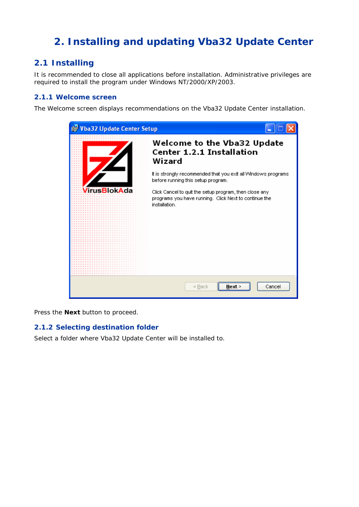# <span id="page-4-0"></span>**2. Installing and updating Vba32 Update Center**

# **2.1 Installing**

It is recommended to close all applications before installation. Administrative privileges are required to install the program under Windows NT/2000/XP/2003.

#### **2.1.1 Welcome screen**

The Welcome screen displays recommendations on the Vba32 Update Center installation.



Press the **Next** button to proceed.

#### **2.1.2 Selecting destination folder**

Select a folder where Vba32 Update Center will be installed to.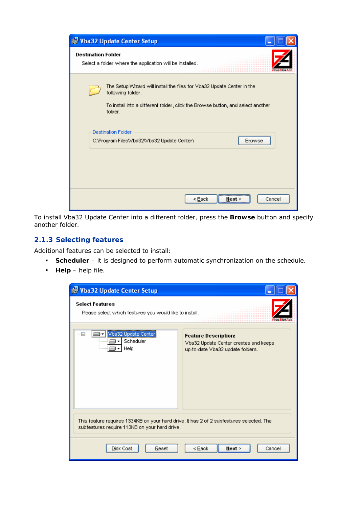<span id="page-5-0"></span>

| <b>is Vba32 Update Center Setup</b>                                                                                                                                                       |
|-------------------------------------------------------------------------------------------------------------------------------------------------------------------------------------------|
| <b>Destination Folder</b><br>Select a folder where the application will be installed.                                                                                                     |
| The Setup Wizard will install the files for Vba32 Update Center in the<br>following folder.<br>To install into a different folder, click the Browse button, and select another<br>folder. |
| <b>Destination Folder</b><br><b>Browse</b><br>C:\Program Files\Vba32\Vba32 Update Center\                                                                                                 |
| < <u>B</u> ack<br>Cancel<br>Next >                                                                                                                                                        |

To install Vba32 Update Center into a different folder, press the **Browse** button and specify another folder.

#### **2.1.3 Selecting features**

Additional features can be selected to install:

- **Scheduler** it is designed to perform automatic synchronization on the schedule.
- **Help** help file.

| is Vba32 Update Center Setup                                                                                                              |                                                                                                          |
|-------------------------------------------------------------------------------------------------------------------------------------------|----------------------------------------------------------------------------------------------------------|
| <b>Select Features</b><br>Please select which features you would like to install.                                                         |                                                                                                          |
| Vba32 Update Center<br>Scheduler<br>Help                                                                                                  | <b>Feature Description:</b><br>Vba32 Update Center creates and keeps<br>up-to-date Vba32 update folders. |
| This feature requires 1334KB on your hard drive. It has 2 of 2 subfeatures selected. The<br>subfeatures require 113KB on your hard drive. |                                                                                                          |
| Disk Cost<br>Reset                                                                                                                        | Next ><br>< Back<br>Cancel                                                                               |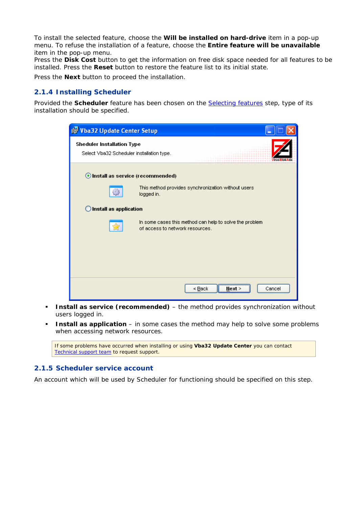<span id="page-6-0"></span>To install the selected feature, choose the **Will be installed on hard-drive** item in a pop-up menu. To refuse the installation of a feature, choose the **Entire feature will be unavailable**  item in the pop-up menu.

Press the **Disk Cost** button to get the information on free disk space needed for all features to be installed. Press the **Reset** button to restore the feature list to its initial state.

Press the **Next** button to proceed the installation.

#### **2.1.4 Installing Scheduler**

Provided the **Scheduler** feature has been chosen on the [Selecting features](#page-5-0) step, type of its installation should be specified.

| is Vba32 Update Center Setup                                                   |                                                                                            |
|--------------------------------------------------------------------------------|--------------------------------------------------------------------------------------------|
| <b>Sheduler Installation Type</b><br>Select Vba32 Scheduler installation type. |                                                                                            |
| Install as service (recommended)                                               |                                                                                            |
|                                                                                | This method provides synchronization without users<br>logged in.                           |
| Install as application                                                         |                                                                                            |
|                                                                                | In some cases this method can help to solve the problem<br>of access to network resources. |
|                                                                                |                                                                                            |
|                                                                                |                                                                                            |
|                                                                                |                                                                                            |
|                                                                                | < Back<br>Cancel<br>Next                                                                   |

- **Install as service (recommended)** the method provides synchronization without users logged in.
- **Install as application** in some cases the method may help to solve some problems when accessing network resources.

If some problems have occurred when installing or using **Vba32 Update Center** you can contact [Technical support team](#page-3-0) to request support.

#### **2.1.5 Scheduler service account**

An account which will be used by Scheduler for functioning should be specified on this step.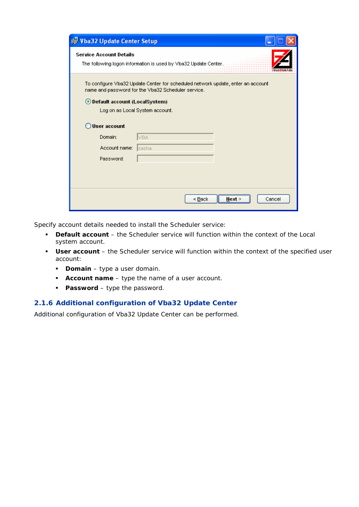<span id="page-7-0"></span>

| Vba32 Update Center Setup                                                                                                             |                                   |  |
|---------------------------------------------------------------------------------------------------------------------------------------|-----------------------------------|--|
| <b>Service Account Details</b><br>The following logon information is used by Vba32 Update Center.                                     |                                   |  |
| To configure Vba32 Update Center for scheduled network update, enter an account<br>name and password for the Vba32 Scheduler service. |                                   |  |
| ⊙ Default account (LocalSystem)                                                                                                       |                                   |  |
|                                                                                                                                       | Log on as Local System account.   |  |
| User account                                                                                                                          |                                   |  |
| Domain:                                                                                                                               | IVBA.                             |  |
| Account name:                                                                                                                         | ∣sasha                            |  |
| Password:                                                                                                                             |                                   |  |
|                                                                                                                                       |                                   |  |
|                                                                                                                                       |                                   |  |
|                                                                                                                                       | < <u>B</u> ack<br>Cancel<br>Next∶ |  |

Specify account details needed to install the Scheduler service:

- **Default account** the Scheduler service will function within the context of the Local system account.
- **User account** the Scheduler service will function within the context of the specified user account:
	- **Domain** type a user domain.
	- **Account name** type the name of a user account.
	- **Password** type the password.

#### **2.1.6 Additional configuration of Vba32 Update Center**

Additional configuration of Vba32 Update Center can be performed.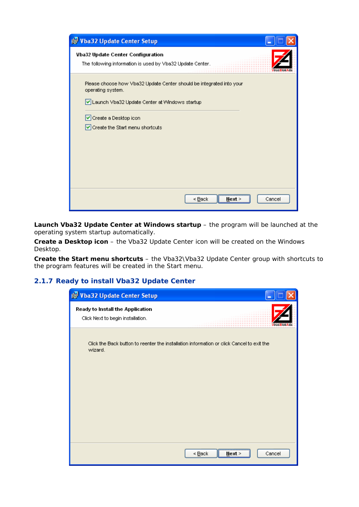<span id="page-8-0"></span>

**Launch Vba32 Update Center at Windows startup** – the program will be launched at the operating system startup automatically.

**Create a Desktop icon** – the Vba32 Update Center icon will be created on the Windows Desktop.

**Create the Start menu shortcuts** – the Vba32\Vba32 Update Center group with shortcuts to the program features will be created in the Start menu.

#### **2.1.7 Ready to install Vba32 Update Center**

| Vba32 Update Center Setup                                                                            |                                    |
|------------------------------------------------------------------------------------------------------|------------------------------------|
| Ready to Install the Application<br>Click Next to begin installation.                                |                                    |
| Click the Back button to reenter the installation information or click Cancel to exit the<br>wizard. |                                    |
|                                                                                                      |                                    |
|                                                                                                      | Cancel<br>< <u>B</u> ack<br>Next > |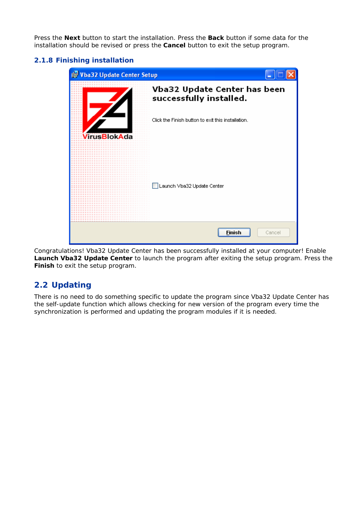<span id="page-9-0"></span>Press the **Next** button to start the installation. Press the **Back** button if some data for the installation should be revised or press the **Cancel** button to exit the setup program.

#### **2.1.8 Finishing installation**

| Vba32 Update Center Setup |                                                         |
|---------------------------|---------------------------------------------------------|
|                           | Vba32 Update Center has been<br>successfully installed. |
| /irusBlokAda              | Click the Finish button to exit this installation.      |
|                           | Launch Vba32 Update Center                              |
|                           | Finish<br>Cancel                                        |

Congratulations! Vba32 Update Center has been successfully installed at your computer! Enable **Launch Vba32 Update Center** to launch the program after exiting the setup program. Press the **Finish** to exit the setup program.

# **2.2 Updating**

There is no need to do something specific to update the program since Vba32 Update Center has the self-update function which allows checking for new version of the program every time the synchronization is performed and updating the program modules if it is needed.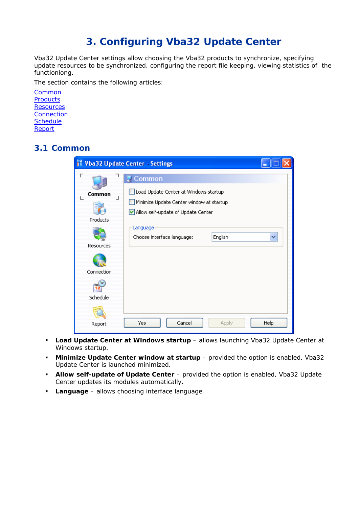# **3. Configuring Vba32 Update Center**

<span id="page-10-0"></span>Vba32 Update Center settings allow choosing the Vba32 products to synchronize, specifying update resources to be synchronized, configuring the report file keeping, viewing statistics of the functioniong.

The section contains the following articles:

**[Common](#page-10-0) [Products](#page-11-0) [Resources](#page-11-0) [Connection](#page-12-0) [Schedule](#page-13-0)** [Report](#page-14-0)

## **3.1 Common**

| <b>Vba32 Update Center - Settings</b><br>ш |                                                                                                                                   |  |
|--------------------------------------------|-----------------------------------------------------------------------------------------------------------------------------------|--|
| Common<br>┙<br>Products                    | Common<br>Load Update Center at Windows startup<br>Minimize Update Center window at startup<br>Allow self-update of Update Center |  |
| Resources<br><b>Connection</b>             | Language<br>Choose interface language:<br>English                                                                                 |  |
| Schedule<br>Report                         | Cancel<br>Help<br>Yes<br>Apply                                                                                                    |  |

- **Load Update Center at Windows startup** allows launching Vba32 Update Center at Windows startup.
- **Minimize Update Center window at startup** provided the option is enabled, Vba32 Update Center is launched minimized.
- **Allow self-update of Update Center** provided the option is enabled, Vba32 Update Center updates its modules automatically.
- **Language** allows choosing interface language.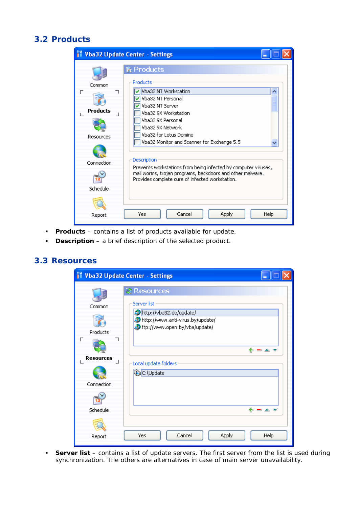### <span id="page-11-0"></span>**3.2 Products**

|                                                                | <b>Vba32 Update Center - Settings</b>                                                                                                                                                                                                                                                                                                                                                                                                   |             |
|----------------------------------------------------------------|-----------------------------------------------------------------------------------------------------------------------------------------------------------------------------------------------------------------------------------------------------------------------------------------------------------------------------------------------------------------------------------------------------------------------------------------|-------------|
| Common<br>г<br>Products<br>Resources<br>Connection<br>Schedule | <b>R</b> Products<br>Products<br>Vba32 NT Workstation<br>Vba32 NT Personal<br>Vba32 NT Server<br>Vba32 9X Workstation<br>Vba32 9X Personal<br>Vba32 9X Network<br>Vba32 for Lotus Domino<br>Vba32 Monitor and Scanner for Exchange 5.5<br>Description<br>Prevents workstations from being infected by computer viruses,<br>mail worms, trojan programs, backdoors and other malware.<br>Provides complete cure of infected workstation. |             |
| Report                                                         | Cancel<br>Apply<br>Yes                                                                                                                                                                                                                                                                                                                                                                                                                  | <b>Help</b> |

- **Products** contains a list of products available for update.
- **Description** a brief description of the selected product.

### **3.3 Resources**

| M                                                                     | <b>Vba32 Update Center - Settings</b>                                                                                                                                                   |
|-----------------------------------------------------------------------|-----------------------------------------------------------------------------------------------------------------------------------------------------------------------------------------|
| Common<br>Products<br>г<br><b>Resources</b><br>Connection<br>Schedule | <b>&amp; Resources</b><br>Server list<br>http://vba32.de/update/<br>http://www.anti-virus.by/update/<br>of ftp://www.open.by/vba/update/<br>串<br>Local update folders<br>C:\Update<br>串 |
| Report                                                                | Cancel<br>Help<br>Yes<br><b>Apply</b>                                                                                                                                                   |

 **Server list** – contains a list of update servers. The first server from the list is used during synchronization. The others are alternatives in case of main server unavailability.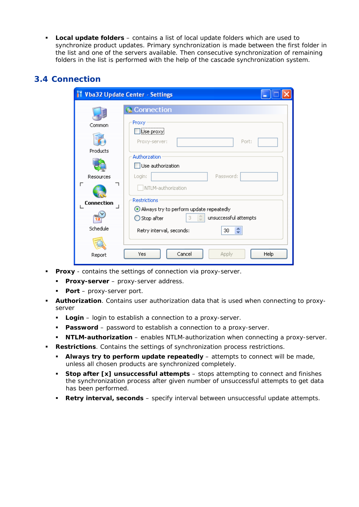<span id="page-12-0"></span> **Local update folders** – contains a list of local update folders which are used to synchronize product updates. Primary synchronization is made between the first folder in the list and one of the servers available. Then consecutive synchronization of remaining folders in the list is performed with the help of the cascade synchronization system.

### **3.4 Connection**

|                   | <b>Vba32 Update Center - Settings</b>                                                       |
|-------------------|---------------------------------------------------------------------------------------------|
|                   | Connection                                                                                  |
| Common            | Proxy                                                                                       |
|                   | Use proxyj<br>Port:<br>Proxy-server:                                                        |
| Products          | Authorzation                                                                                |
|                   | Use authorization                                                                           |
| Resources         | Password:<br>Login:                                                                         |
| г                 | NTLM-authorization                                                                          |
| <b>Connection</b> | <b>Restrictions</b>                                                                         |
|                   | Always try to perform update repeatedly<br>÷<br>3.<br>unsuccessful attempts<br>◯ Stop after |
| Schedule          | ٨<br>Retry interval, seconds:<br>30<br>v                                                    |
|                   |                                                                                             |
| Report            | Cancel<br>Apply<br>Help<br>Yes                                                              |

- **Proxy** contains the settings of connection via proxy-server.
	- **Proxy-server** proxy-server address.
	- **Port** proxy-server port.
- **Authorization**. Contains user authorization data that is used when connecting to proxyserver
	- **Login** login to establish a connection to a proxy-server.
	- **Password** password to establish a connection to a proxy-server.
	- **NTLM-authorization** enables NTLM-authorization when connecting a proxy-server.
- **Restrictions**. Contains the settings of synchronization process restrictions.
	- **Always try to perform update repeatedly** attempts to connect will be made, unless all chosen products are synchronized completely.
	- **Stop after [x] unsuccessful attempts** stops attempting to connect and finishes the synchronization process after given number of unsuccessful attempts to get data has been performed.
	- **Retry interval, seconds** specify interval between unsuccessful update attempts.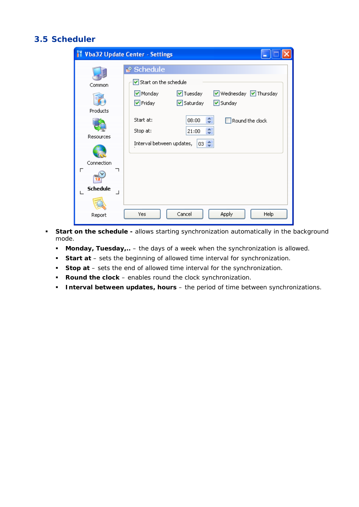# <span id="page-13-0"></span>**3.5 Scheduler**

| m                                                                          | <b>Vba32 Update Center - Settings</b>                                                                                                                                                                                                                                          |
|----------------------------------------------------------------------------|--------------------------------------------------------------------------------------------------------------------------------------------------------------------------------------------------------------------------------------------------------------------------------|
| Common<br>Products<br>Resources<br>Connection<br>г<br><b>Schedule</b><br>┙ | Schedule<br>Start on the schedule<br><b>▽</b> Tuesday<br>V Wednesday V Thursday<br>Monday<br>☑ Saturday<br>$\nabla$ Friday<br>☑ Sunday<br>¢<br>Start at:<br>08:00<br>Round the clock<br>$\frac{\lambda}{\mathbf{v}}$<br>Stop at:<br>21:00<br>03 ↔<br>Interval between updates, |
| Report                                                                     | Cancel<br>Apply<br>Help<br>Yes                                                                                                                                                                                                                                                 |

- **Start on the schedule -** allows starting synchronization automatically in the background mode.
	- **Monday, Tuesday,..** the days of a week when the synchronization is allowed.
	- **Start at** sets the beginning of allowed time interval for synchronization.
	- **Stop at** sets the end of allowed time interval for the synchronization.
	- **Round the clock** enables round the clock synchronization.
	- **Interval between updates, hours** the period of time between synchronizations.